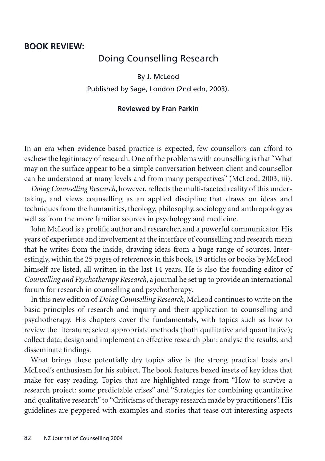## **BOOK REVIEW:**

## Doing Counselling Research

By J. McLeod Published by Sage, London (2nd edn, 2003).

## **Reviewed by Fran Parkin**

In an era when evidence-based practice is expected, few counsellors can afford to eschew the legitimacy of research. One of the problems with counselling is that "What may on the surface appear to be a simple conversation between client and counsellor can be understood at many levels and from many perspectives" (McLeod, 2003, iii).

*Doing Counselling Research*, however, reflects the multi-faceted reality of this undertaking, and views counselling as an applied discipline that draws on ideas and techniques from the humanities, theology, philosophy, sociology and anthropology as well as from the more familiar sources in psychology and medicine.

John McLeod is a prolific author and researcher, and a powerful communicator. His years of experience and involvement at the interface of counselling and research mean that he writes from the inside, drawing ideas from a huge range of sources. Interestingly, within the 25 pages of references in this book, 19 articles or books by McLeod himself are listed, all written in the last 14 years. He is also the founding editor of *Counselling and Psychotherapy Research*, a journal he set up to provide an international forum for research in counselling and psychotherapy.

In this new edition of *Doing Counselling Research*, McLeod continues to write on the basic principles of research and inquiry and their application to counselling and psychotherapy. His chapters cover the fundamentals, with topics such as how to review the literature; select appropriate methods (both qualitative and quantitative); collect data; design and implement an effective research plan; analyse the results, and disseminate findings.

What brings these potentially dry topics alive is the strong practical basis and McLeod's enthusiasm for his subject. The book features boxed insets of key ideas that make for easy reading. Topics that are highlighted range from "How to survive a research project: some predictable crises" and "Strategies for combining quantitative and qualitative research" to "Criticisms of therapy research made by practitioners". His guidelines are peppered with examples and stories that tease out interesting aspects